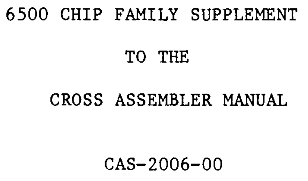# 6500 CHIP FAMILY SUPPLEMENT

#### TO THE

#### CROSS ASSEMBLER MANUAL

### CAS-2006-00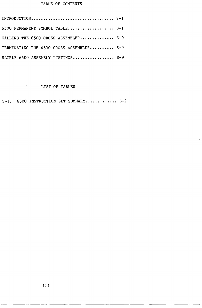# TABLE OF CONTENTS

| 6500 PERMANENT SYMBOL TABLE S-1          |  |
|------------------------------------------|--|
| CALLING THE 6500 CROSS ASSEMBLER S-9     |  |
| TERMINATING THE 6500 CROSS ASSEMBLER S-9 |  |
| SAMPLE 6500 ASSEMBLY LISTINGS S-9        |  |

# LIST OF TABLES

 $\mathcal{P}_{\mathcal{A}}$  .

S-1. 6500 INSTRUCTION SET SUMMARY............. S-2

~--. ----~ ---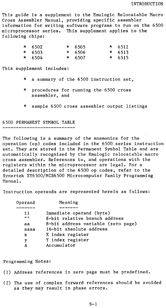This guide is a supplement to the Emulogic Relocatable Macro Cross Assembler Manual, providing specific assembler information for writing software programs to run on the 6500 microprocessor series. This supplement applies to the following chips:

| $*$ 6502 | * 6505   | * $6512$ |
|----------|----------|----------|
| $*$ 6503 | $*$ 6506 | $*$ 6513 |
| $* 6504$ | $*$ 6507 | $*$ 6515 |

This supplement includes:

- a summary of the 6500 instruction set,
- \* procedures for running the 6500 cross assembler, and
- \* sample 6500 cross assembler output listings

6500 PERMANENT SYMBOL TABLE

The following is a summary of the mnemonics for the operation (op) codes included in the 6500 series instruction set. They are stored in the Permanent Symbol Table and are automatically recognized by the Emulogic relocatable macro cross assembler. References to, and operations with the registers within the microprocessor are legal. For a detailed description of the 6500 op codes, refer to the Synertek SY6500/MCS6500 Microcomputer Family Programming Manual.

Instruction operands are represented herein as follows:

| Operand       | Meaning                            |
|---------------|------------------------------------|
|               |                                    |
| ii            | Immediate operand (byte)           |
| $\sim$ $\sim$ | 8-bit relative branch address      |
| aa            | 8-bit address variable (zero page) |
| aaaa          | 16-bit absolute address            |
| $\mathbf x$   | X index register                   |
| у             | Y index register                   |
| A             | Accumulator                        |

Programming Notes:

- (1) Address references in zero page must be predefined.
- (2) The use of complex forward references should be avoided as they may result in phase errors.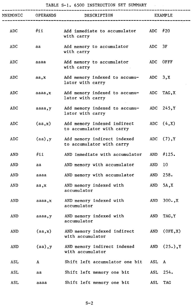# TABLE S-I. 6500 INSTRUCTION SET SUMMARY

 $\mathcal{L}_{\text{max}}$ 

|            | MNEMONIC OPERANDS | DESCRIPTION                                                |       | EXAMPLE      |
|------------|-------------------|------------------------------------------------------------|-------|--------------|
| ADC        | #ii               | Add immediate to accumulator ADC #20<br>with carry         |       |              |
| ADC        | aa                | Add memory to accumulator<br>with carry                    | ADC   | 3F           |
| ADC        | aaaa              | Add memory to accumulator<br>with carry                    |       | ADC OFFF     |
| ADC        | aa, x             | Add memory indexed to accumu- ADC 3, X<br>lator with carry |       |              |
| <b>ADC</b> | aaaa,x            | Add memory indexed to accumu-<br>lator with carry          |       | ADC TAG, X   |
| ADC        | aaaa, y           | Add memory indexed to accumu-<br>lator with carry          |       | $ADC$ 245, Y |
| <b>ADC</b> | (aa, x)           | Add memory indexed indirect<br>to accumulator with carry   |       | ADC $(4, X)$ |
| ADC        | $(aa)$ , y        | Add memory indirect indexed<br>to accumulator with carry   |       | ADC $(7), Y$ |
| AND        | #i                | AND immediate with accumulator                             | AND   | #125.        |
| AND        | aa                | AND memory with accumulator                                | AND   | 10           |
| AND        | aaaa              | AND memory with accumulator                                | AND   | 258.         |
| AND        | aa,x              | AND memory indexed with<br>accumulator                     | AND   | 5A, X        |
| AND        | aaaa,x            | AND memory indexed with<br>accumulator                     | AND   | $300.$ , X   |
| AND        | aaaa, y           | AND memory indexed with<br>accumulator                     | AND   | TAG, Y       |
| AND        | (aa, x)           | AND memory indexed indirect<br>with accumulator            | AND   | (0FE,X)      |
| AND        | $(aa)$ , y        | AND memory indirect indexed<br>with accumulator            | AND   | (25.), Y     |
| ASL        | A                 | Shift left accumulator one bit                             | ASL A |              |
| ASL        | aa                | Shift left memory one bit                                  | ASL   | 254.         |
| <b>ASL</b> | aaaa              | Shift left memory one bit                                  | ASL   | <b>TAG</b>   |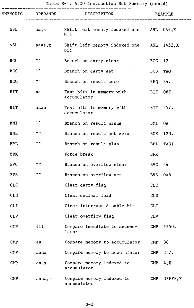|  |  |  | Table S-1. 6500 Instruction Set Summary (contd) |  |  |  |  |
|--|--|--|-------------------------------------------------|--|--|--|--|
|--|--|--|-------------------------------------------------|--|--|--|--|

|                |                 | Table S-1. 6500 Instruction Set Summary (contd) |                |                |
|----------------|-----------------|-------------------------------------------------|----------------|----------------|
| MNEMONIC       | <b>OPERANDS</b> | DESCRIPTION                                     |                | <b>EXAMPLE</b> |
| ASL            | a, x            | Shift left memory indexed one ASL 0A4, X<br>bit |                |                |
| ASL            | aaaa, x         | Shift left memory indexed one<br>bit            |                | ASL 1452, X    |
| <b>BCC</b>     | $\sim$ $\sim$   | Branch on carry clear                           | BCC 12         |                |
| <b>BCS</b>     | $\sim$ $\sim$   | Branch on carry set                             | BCS -          | <b>TAG</b>     |
| <b>BEQ</b>     | $\sim$ $\sim$   | Branch on result zero                           | BEQ            | 34.            |
| BIT            | aa              | Test bits in memory with<br>accumulator         |                | BIT OFF        |
| <b>BIT</b>     | aaaa            | Test bits in memory with<br>accumulator         |                | BIT 257.       |
| BMI            | $\sim$ $\sim$   | Branch on result minus                          | BMI            | 0A             |
| BNE            | $\sim$          | Branch on result not zero                       | BNE            | 123.           |
| <b>BPL</b>     | $\sim$ $\sim$   | Branch on result plus                           | BPL            | TAG1           |
| <b>BRK</b>     |                 | Force break                                     | BRK            |                |
| <b>BVC</b>     | $\sim$ $\sim$   | Branch on overflow clear                        | BVC            | 24             |
| <b>BVS</b>     | $\sim$ $\sim$   | Branch on overflow set                          | <b>BVS</b>     | 0AB            |
| <b>CLC</b>     |                 | Clear carry flag                                | <b>CLC</b>     |                |
| <b>CLD</b>     |                 | Clear decimal load                              | <b>CLD</b>     |                |
| <b>CLI</b>     |                 | Clear interrupt disable bit                     | <b>CLI</b>     |                |
| <b>CLV</b>     |                 | Clear overflow flag                             | <b>CLV</b>     |                |
| $\mathbf{CMP}$ | $\#$ ii         | Compare immediate to accumu-<br>lator           | $\text{CMP}$   | #250.          |
| $\mathbf{CMP}$ | aa              | Compare memory to accumulator                   | $\mathbf{CMP}$ | 86             |
| $\mathsf{CMP}$ | aaaa            | Compare memory to accumulator                   | $\mathbf{CMP}$ | 257.           |
| <b>CMP</b>     | aa,x            | Compare memory indexed to<br>accumulator        | $\mathbf{CMP}$ | 4, X           |
| $\mathsf{CMP}$ | aaaa, x         | Compare memory indexed to<br>accumulator        | $\mathbf{CMP}$ | OFFFF,X        |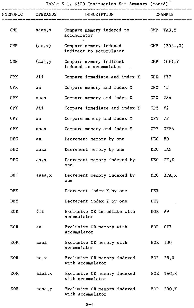|  | Table S-1. 6500 Instruction Set Summary (contd) |  |  |
|--|-------------------------------------------------|--|--|
|  |                                                 |  |  |

|                |                 | rable 5-1. 0000 filstruction set bummary (contu)  |                |                |
|----------------|-----------------|---------------------------------------------------|----------------|----------------|
| MNEMONIC       | <b>OPERANDS</b> | DESCRIPTION                                       |                | <b>EXAMPLE</b> |
| $\mathbf{CMP}$ | aaaa,y          | Compare memory indexed to<br>accumulator          | $\text{CMP}$   | TAG, Y         |
| $\mathsf{CMP}$ | (aa, x)         | Compare memory indexed<br>indirect to accumulator | $\mathbf{CMP}$ | (255, X)       |
| $\mathsf{CMP}$ | $(aa)$ , y      | Compare memory indirect<br>indexed to accumulator | $\mathbf{CMP}$ | (6F), Y        |
| CPX            | $\#$ ii         | Compare immediate and index X                     | CPX $#77$      |                |
| CPX            | aa              | Compare memory and index X                        | $CPX$ 45       |                |
| <b>CPX</b>     | aaaa            | Compare memory and index X                        | CPX 284        |                |
| CPY            | $\#$ ii         | Compare immediate and index Y                     | $CPY$ #2       |                |
| CPY            | aa              | Compare memory and index Y                        | $CPY$ 7F       |                |
| CPY            | aaaa            | Compare memory and index Y                        |                | CPY OFFA       |
| <b>DEC</b>     | aa              | Decrement memory by one                           | DEC            | 80             |
| DEC            | aaaa            | Decrement memory by one                           | DEC TAG        |                |
| <b>DEC</b>     | aa, x           | Decrement memory indexed by<br>one                |                | DEC $7F, X$    |
| <b>DEC</b>     | aaaa, x         | Decrement memory indexed by<br>one                | DEC            | 3FA, X         |
| <b>DEX</b>     |                 | Decrement index X by one                          | <b>DEX</b>     |                |
| DEY            |                 | Decrement index Y by one                          | DEY            |                |
| EOR            | $\#$ ii         | Exclusive OR immediate with<br>accumulator        | EOR            | #9             |
| EOR            | aa              | Exclusive OR memory with<br>accumulator           | EOR            | 0F7            |
| EOR            | aaaa            | Exclusive OR memory with<br>accumulator           | EOR.           | 100            |
| EOR.           | aa, x           | Exclusive OR memory indexed<br>with accumulator   |                | EOR $25, x$    |
| EOR.           | aaaa, x         | Exclusive OR memory indexed<br>with accumulator   | EOR            | TAG, X         |
| EOR            | aaaa, y         | Exclusive OR memory indexed<br>with accumulator   | EOR            | 200, Y         |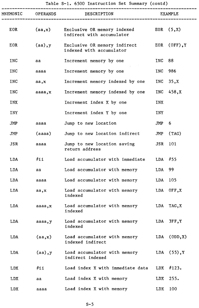| Table S-1. 6500 Instruction Set Summary (contd) |  |  |
|-------------------------------------------------|--|--|
|-------------------------------------------------|--|--|

|            |            | MNEMONIC OPERANDS DESCRIPTION                            |            | EXAMPLE        |
|------------|------------|----------------------------------------------------------|------------|----------------|
| EOR        | (aa, x)    | Exclusive OR memory indexed<br>indirect with accumulator |            | EOR $(5, x)$   |
| EOR        | $(aa)$ , y | Exclusive OR memory indirect<br>indexed with accumulator | EOR        | $(OFF)$ , Y    |
| <b>INC</b> | aa         | Increment memory by one                                  | INC        | 88             |
| INC        | aaaa       | Increment memory by one                                  | <b>INC</b> | 986            |
| <b>INC</b> | aa, x      | Increment memory indexed by one                          | INC        | 35, X          |
| INC        | aaaa, x    | Increment memory indexed by one                          | INC        | 458,X          |
| INX        |            | Increment index X by one                                 | <b>INX</b> |                |
| INY        |            | Increment index Y by one                                 | <b>INY</b> |                |
| JMP        | aaaa       | Jump to new location                                     | JMP        | 6              |
| JMP        | (aaaa)     | Jump to new location indirect                            | JMP        | (TAG)          |
| JSR        | aaaa       | Jump to new location saving<br>return address            | JSR        | 101            |
| LDA        | $\#$ ii    | Load accumulator with immediate                          |            | LDA $#55$      |
| LDA        | aa         | Load accumulator with memory                             | LDA        | 99             |
| LDA        | aaaa       | Load accumulator with memory                             | LDA        | 105            |
| LDA        | aa, x      | Load accumulator with memory<br>indexed                  | LDA        | OFF, X         |
| LDA        | aaaa, x    | Load accumulator with memory<br>indexed                  | LDA        | TAG, X         |
| LDA        | aaaa, y    | Load accumulator with memory<br>indexed                  | LDA        | 3FF, Y         |
| LDA        | (aa,x)     | Load accumulator with memory<br>indexed indirect         | LDA        | (ODD,X)        |
| LDA        | $(aa)$ , y | Load accumulator with memory<br>indirect indexed         |            | LDA $(55)$ , Y |
| <b>LDX</b> | #11        | Load index X with immediate data                         | LDX        | #123.          |
| LDX        | aa         | Load index X with memory                                 | LDX.       | 255.           |
| LDX        | aaaa       | Load index X with memory                                 | LDX        | 100            |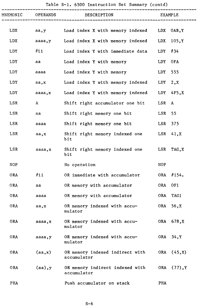|            |                 | Table S-1. 6500 Instruction Set Summary (contd) |                      |
|------------|-----------------|-------------------------------------------------|----------------------|
| MNEMONIC   | <b>OPERANDS</b> | DESCRIPTION                                     | <b>EXAMPLE</b>       |
| <b>LDX</b> | aa,y            | Load index X with memory indexed                | LDX<br>0AB, Y        |
| LDX        | aaaa, y         | Load index X with memory indexed                | <b>LDX</b><br>105, Y |
| LDY        | $\#$ ii         | Load index Y with immediate data                | #34<br>LDY           |
| <b>LDY</b> | aa              | Load index Y with memory                        | LDY<br>0FA           |
| LDY.       | aaaa            | Load index Y with memory                        | 555<br>LDY           |
| LDY        | aa,x            | Load index Y with memory indexed                | LDY<br>2, x          |
| LDY        | aaaa, x         | Load index Y with memory indexed                | <b>LDY</b><br>4F5, X |
| LSR        | A               | Shift right accumulator one bit                 | LSR<br>A             |
| LSR        | aa              | Shift right memory one bit                      | LSR<br>55            |
| LSR        | aaaa            | Shift right memory one bit                      | LSR<br>375           |
| LSR        | aa,x            | Shift right memory indexed one<br>bit           | LSR<br>41, x         |
| LSR        | aaaa, x         | Shift right memory indexed one<br>bit           | LSR<br>TAG, X        |
| <b>NOP</b> |                 | No operation                                    | NOP                  |
| 0RA        | $\#$ ii         | OR immediate with accumulator                   | #154.<br>0RA         |
| 0RA        | aa              | OR memory with accumulator                      | <b>ORA</b><br>0F1    |
| 0RA        | aaaa            | OR memory with accumulator                      | ORA<br>TAG1          |
| <b>ORA</b> | aa,x            | OR memory indexed with accu-<br>mulator         | 56, X<br>ORA         |
| 0RA        | aaaa, x         | OR memory indexed with accu-<br>mulator         | ORA 678, X           |
| 0RA        | aaaa, y         | OR memory indexed with accu-<br>mulator         | ORA 34, Y            |
| 0RA        | (aa,x)          | OR memory indexed indirect with<br>accumulator  | ORA (45, X)          |
| 0RA        | (aa), y         | OR memory indirect indexed with<br>accumulator  | ORA<br>(77), Y       |
| PHA        |                 | Push accumulator on stack                       | <b>PHA</b>           |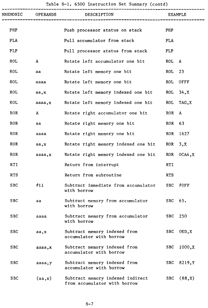| MNEMONIC   | <b>OPERANDS</b> | DESCRIPTION                                                      |            | <b>EXAMPLE</b> |
|------------|-----------------|------------------------------------------------------------------|------------|----------------|
| PHP        |                 | Push processor status on stack                                   | PHP        |                |
| <b>PLA</b> |                 | Pull accumulator from stack                                      | <b>PLA</b> |                |
| PLP        |                 | Pull processor status from stack                                 | PLP        |                |
| <b>ROL</b> | A               | Rotate left accumulator one bit                                  | <b>ROL</b> | $\mathbf{A}$   |
| <b>ROL</b> | aa              | Rotate left memory one bit                                       | <b>ROL</b> | 23             |
| <b>ROL</b> | aaaa            | Rotate left memory one bit                                       | <b>ROL</b> | OFFF           |
| <b>ROL</b> | aa, x           | Rotate left memory indexed one bit                               | ROL        | 34, X          |
| ROL        | aaaa, x         | Rotate left memory indexed one bit                               | <b>ROL</b> | TAG, X         |
| <b>ROR</b> | $\mathbf{A}$    | Rotate right accumulator one bit                                 | <b>ROR</b> | $\mathbf{A}$   |
| <b>ROR</b> | aa              | Rotate right memory one bit                                      | <b>ROR</b> | 63             |
| <b>ROR</b> | aaaa            | Rotate right memory one bit                                      | <b>ROR</b> | 1627           |
| <b>ROR</b> | aa, x           | Rotate right memory indexed one bit                              | ROR        | 3, x           |
| <b>ROR</b> | aaaa, x         | Rotate right memory indexed one bit                              | ROR.       | 0CA4, X        |
| RTI        |                 | Return from interrupt                                            | <b>RTI</b> |                |
| <b>RTS</b> |                 | Return from subroutine                                           | <b>RTS</b> |                |
| <b>SBC</b> | $\#\mathtt{i}$  | Subtract immediate from accumulator<br>with borrow               | <b>SBC</b> | #OFF           |
| <b>SBC</b> | aa              | Subtract memory from accumulator<br>with borrow                  | SBC 65.    |                |
| <b>SBC</b> | aaaa            | Subtract memory from accumulator<br>with borrow                  | <b>SBC</b> | 250            |
| <b>SBC</b> | aa, x           | Subtract memory indexed from<br>accumulator with borrow          | <b>SBC</b> | OED, X         |
| <b>SBC</b> | aaaa, x         | Subtract memory indexed from<br>accumulator with borrow          | <b>SBC</b> | 1000, X        |
| <b>SBC</b> | aaaa, y         | Subtract memory indexed from<br>accumulator with borrow          | <b>SBC</b> | 8219, Y        |
| <b>SBC</b> | (aa, x)         | Subtract memory indexed indirect<br>from accumulator with borrow | <b>SBC</b> | (88, X)        |

# Table S-l. 6500 Instruction Set Summary (contd)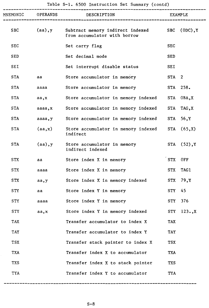| MNEMONIC   | <b>OPERANDS</b> | DESCRIPTION                                                      | <b>EXAMPLE</b>   |                |  |
|------------|-----------------|------------------------------------------------------------------|------------------|----------------|--|
| <b>SBC</b> | $(aa)$ , y      | Subtract memory indirect indexed<br>from accumulator with borrow | <b>SBC</b>       | $(0DC)$ , Y    |  |
| <b>SEC</b> |                 | Set carry flag                                                   | <b>SEC</b>       |                |  |
| SED        |                 | Set decimal mode                                                 | <b>SED</b>       |                |  |
| SEI        |                 | Set interrupt disable status                                     | SEI              |                |  |
| <b>STA</b> | aa              | Store accumulator in memory                                      | STA <sub>2</sub> |                |  |
| <b>STA</b> | aaaa            | Store accumulator in memory                                      |                  | STA 258.       |  |
| STA        | aa,x            | Store accumulator in memory indexed                              |                  | STA OBA, X     |  |
| <b>STA</b> | aaaa, x         | Store accumulator in memory indexed                              | STA              | TAG, X         |  |
| <b>STA</b> | aaaa, y         | Store accumulator in memory indexed                              |                  | STA 56, Y      |  |
| STA        | (aa,x)          | Store accumulator in memory indexed<br>indirect                  | STA              | (65, X)        |  |
| <b>STA</b> | (aa), y         | Store accumulator in memory<br>indirect indexed                  |                  | STA $(52)$ , Y |  |
| <b>STX</b> | aa              | Store index X in memory                                          | <b>STX</b>       | 0FF            |  |
| <b>STX</b> | aaaa            | Store index X in memory                                          | <b>STX</b>       | <b>TAG1</b>    |  |
| STX        | aa, y           | Store index X in memory indexed                                  | <b>STX</b>       | 79, Y          |  |
| <b>STY</b> | aa              | Store index Y in memory                                          | <b>STY</b>       | 45             |  |
| STY        | aaaa            | Store index Y in memory                                          |                  | STY 376        |  |
| <b>STY</b> | aa, x           | Store index Y in memory indexed                                  | <b>STY</b>       | $123.$ , X     |  |
| <b>TAX</b> |                 | Transfer accumulator to index X                                  | <b>TAX</b>       |                |  |
| TAY        |                 | Transfer accumulator to index Y                                  | TAY              |                |  |
| <b>TSX</b> |                 | Transfer stack pointer to index X                                | <b>TSX</b>       |                |  |
| <b>TXA</b> |                 | Transfer index X to accumulator                                  | <b>TXA</b>       |                |  |
| <b>TXS</b> |                 | Transfer index X to stack pointer                                | <b>TXS</b>       |                |  |
| TYA        |                 | Transfer index Y to accumulator                                  | TYA              |                |  |

Table S-l. 6500 Instruction Set Summary (contd)

-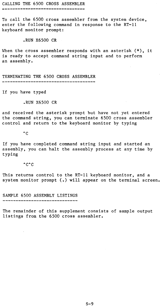CALLING THE 6500 CROSS ASSEMBLER

To call the 6500 cross assembler from the system device, enter the following command in response to the RT-ll keyboard monitor prompt:

.RUN X6500 CR

When the cross assembler responds with an asterisk  $(*)$ , it is ready to accept command string input and to perform an assembly.

TERMINATING THE 6500 CROSS ASSEMBLER

If you have typed

.RUN X6500 CR

and received the asterisk prompt but have not yet entered the command string, you can terminate 6500 cross assembler control and return to the keyboard monitor by typing

 $\overline{c}$ 

If you have completed command string input and started an assembly, you can halt the assembly process at any time by typing

 $\sim$  c $\sim$  c

This returns control to the RT-ll keyboard monitor, and a system monitor prompt (.) will appear on the terminal screen.

SAMPLE 6500 ASSEMBLY LISTINGS

The remainder of this supplement consists of sample output listings from the 6500 cross assembler.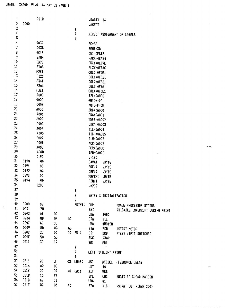| 1                            |              | 0010           |                |     |         | .RADIX                   | -16                    |                                 |  |  |
|------------------------------|--------------|----------------|----------------|-----|---------|--------------------------|------------------------|---------------------------------|--|--|
| $\overline{2}$               | 0000         |                |                |     |         | .ASECT                   |                        |                                 |  |  |
| $\overline{\mathbf{3}}$<br>4 |              |                |                |     | ţ       |                          |                        |                                 |  |  |
| 5                            |              |                |                |     | ţ       |                          |                        | DIRECT ASSIGNMENT OF LABELS     |  |  |
| 6                            |              | 0032           |                |     | ĵ       |                          |                        |                                 |  |  |
| $\overline{\mathcal{L}}$     |              | 003B           |                |     |         | $PC=32$                  |                        |                                 |  |  |
| 8                            |              | EC18           |                |     |         | SEMI=3B                  |                        |                                 |  |  |
| 9                            |              | <b>EA84</b>    |                |     |         | DE1=OEC18                |                        |                                 |  |  |
| 10                           |              | EB9E           |                |     |         | PACK=0EA84               |                        |                                 |  |  |
| 11                           |              | ERAC           |                |     |         | PHXY=0EB9E               |                        |                                 |  |  |
| 12                           |              | F2E1           |                |     |         | PLXY=0EBAC               |                        |                                 |  |  |
| 13                           |              | F321           |                |     |         | COL0=0F2E1               |                        |                                 |  |  |
| 14                           |              | F361           |                |     |         | COL1=0F321               |                        |                                 |  |  |
| 15                           |              | F3A1           |                |     |         | COL2=0F361<br>COL3=0F3A1 |                        |                                 |  |  |
| 16                           |              | F3E1           |                |     |         | COL4=0F3E1               |                        |                                 |  |  |
| 17                           |              | A808           |                |     |         | T2L=0A808                |                        |                                 |  |  |
| 18                           |              | 000C           |                |     |         | NOTON=OC                 |                        |                                 |  |  |
| 19                           |              | 000E           |                |     |         | NOTOFF=0E                |                        |                                 |  |  |
| 20                           |              | A000           |                |     |         | DRB=0A000                |                        |                                 |  |  |
| 21                           |              | A001           |                |     |         | DRA=0A001                |                        |                                 |  |  |
| 22                           |              | A002           |                |     |         | DDRB=0A002               |                        |                                 |  |  |
| 23                           |              | A003           |                |     |         | DDRA=0A003               |                        |                                 |  |  |
| 24                           |              | A004           |                |     |         | T1L=0A004                |                        |                                 |  |  |
| 25                           |              | A005           |                |     |         | T1CH=0A005               |                        |                                 |  |  |
| 26                           |              | A007           |                |     |         | T1H=0A007                |                        |                                 |  |  |
| 27                           |              | A00B           |                |     |         | ACR=0A00B                |                        |                                 |  |  |
| 28                           |              | A00C           |                |     |         | PCR=0A00C                |                        |                                 |  |  |
| 29                           |              | A00D           |                |     |         | IFR=0A00D                |                        |                                 |  |  |
| 30                           |              | 0190           |                |     |         | 190                      |                        |                                 |  |  |
| 31                           | 0190         | 00             |                |     |         | SAVA:                    | <b>BYTE</b>            |                                 |  |  |
| 32                           | 0191         | 00             |                |     |         | EQFL:                    | .BYTE                  |                                 |  |  |
| 33                           | 0192         | 00             |                |     |         | <b>CRFL!</b>             | .BYTE                  |                                 |  |  |
| 34                           | 0193         | 00             |                |     |         | PBPTR:                   | .BYTE                  |                                 |  |  |
| 35                           | 0194         | 00             |                |     |         | <b>PBUF:</b>             | .BYTE                  |                                 |  |  |
| 36                           |              | 0200           |                |     |         | 200                      |                        |                                 |  |  |
| 37                           |              |                |                |     | ĵ       |                          |                        |                                 |  |  |
| 38                           |              |                |                |     | ŷ.      |                          | ENTRY & INITIALIZATION |                                 |  |  |
| 39                           |              |                |                |     | ĵ       |                          |                        |                                 |  |  |
| 40                           | 0200         | 08             |                |     | PRINT:  | <b>FHP</b>               |                        | <b>FSAVE PROCESSOR STATUS</b>   |  |  |
| 41                           | 0201         | 78             |                |     |         | <b>SET</b>               |                        | FDISABLE INTERRUPT DURING PRINT |  |  |
| 42                           | 0202         | Α9             | œ              |     |         | LDA                      | $*$ 000                |                                 |  |  |
| 43                           | 0204         | 80             | 04             | А0  |         | <b>STA</b>               | TIL.                   |                                 |  |  |
| 44                           | 0207         | Α9             | 0 <sup>c</sup> |     |         | LDA                      | #MOTON                 |                                 |  |  |
| 45                           | 0209         | 80             | OC.            | А0  |         | <b>STA</b>               | PCR                    | FSTART MOTOR                    |  |  |
| 46                           | 020C         | 20             | 00             |     | A0 PR1: | BIT                      | DRB                    | FTEST LIMIT SWITCHES            |  |  |
| 47                           | 020F         | 50             | 53             |     |         | <b>BVC</b>               | <b>RMAR</b>            |                                 |  |  |
| 49                           | 0211         | 30             | F9             |     |         | <b>BMI</b>               | PR1                    |                                 |  |  |
| 49                           |              |                |                |     | î.      |                          |                        |                                 |  |  |
| 50                           |              |                |                |     | ţ.      |                          | LEFT TO RIGHT PRINT    |                                 |  |  |
| 51                           |              |                |                |     | ţ       |                          |                        |                                 |  |  |
| 52                           | 0213         | 20             | CF             | 02  | LMAR:   | JSR                      |                        | DEBDEL #DEBOUNCE DELAY          |  |  |
| 53<br>54                     | 0216         | A0             | 00             |     |         | LDY                      | $\ddagger 0$           |                                 |  |  |
|                              | 0218         | 2 <sub>C</sub> | 00             | AO. | LM1:    | BIT                      | DRB                    |                                 |  |  |
| 55<br>56                     | 021B         | 10             | FB             |     |         | <b>BPL</b>               | LM1                    | FWAIT TO CLEAR MARGIN           |  |  |
| 57                           | 021D<br>021F | А9             | 01             |     |         | LDA                      | ŧ1                     |                                 |  |  |
|                              |              | 80             | 05             | A0  |         | <b>STA</b>               | T1CH                   | <b>FSTART DOT RIMER(200)</b>    |  |  |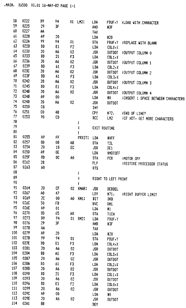| 58  | 0222 | 89       | 94             |    | 01 LM2:       | LBA        |                     | PBUF,Y #LOAD WITH CHARACTER               |
|-----|------|----------|----------------|----|---------------|------------|---------------------|-------------------------------------------|
| 59  | 0225 | 29       | JF             |    |               | and        | #3F                 |                                           |
| 60  | 0227 | AA       |                |    |               | TAX        |                     |                                           |
| 61  | 0228 | А9       | 20             |    |               | LDA        | #20                 |                                           |
| 62  | 022A | 99       | 94             | 01 |               | <b>STA</b> | PBUF, Y             | FREPLACE WITH BLANK                       |
| 63  | 0220 | BD       | E1             | F2 |               | <b>LDA</b> | C0L0, X             |                                           |
| 64  | 0230 | 20       | A6             | 02 |               | <b>JSR</b> | <b>OUTDOT</b>       | FOUTPUT COLUMN O                          |
| 65  | 0233 | BD       | 21             | F3 |               | LDA        | COL1, X             |                                           |
| 66  | 0236 | 20       | A6             | 02 |               | JSR        | OUTDOT              | FOUTPUT COLUMN 1                          |
| 67  | 0239 | BD       | 61             | F3 |               | LDA        | COL2, X             |                                           |
| 68  | 023C | 20       | Α6             | 02 |               | <b>JSR</b> | OUTDOT              | FOUTPUT COLUMN 2                          |
| 69  | 023F | BD       | A1             | F3 |               | LDA        | COL3, X             |                                           |
| 70  | 0242 | 20       | A6             | 02 |               | <b>JSR</b> | OUTDOT              | FOUTPUT COLUMN 3                          |
| 71  | 0245 | BD       | E1             | F3 |               | LDA        | COL4, X             |                                           |
| 72  | 0248 | 20       | A6             | 02 |               | <b>JSR</b> | OUTDOT              | <b>FOUTPUT COLUMN 4</b>                   |
| 73  | 024B | Α9       | 00             |    |               | LDA        | #0                  | <b>FINSERT 1 SPACE BETWEEN CHARACTERS</b> |
| 74  | 0240 | 20       | Λ6             | 02 |               | <b>JSR</b> | <b>OUTDOT</b>       |                                           |
| 75  | 0250 | C8       |                |    |               | INY        |                     |                                           |
| 76  | 0251 | CO.      | 48             |    |               | CPY.       | 172.                | FEND OF LINE?                             |
| 77  | 0253 | 90       | CD             |    |               | BCC        | LM <sub>2</sub>     |                                           |
| 78  |      |          |                |    | t             |            |                     | FIF NOT, GET MORE CHARACTERS              |
| 79  |      |          |                |    | ţ             |            | EXIT ROUTINE        |                                           |
| 80  |      |          |                |    | ţ             |            |                     |                                           |
| 81  | 0255 | А9       | FF.<br>$\sim$  |    | <b>PRXIT:</b> | LDA        |                     |                                           |
| 82  | 0257 | 80       | 08             | Α8 |               | <b>STA</b> | $+0FF$              |                                           |
| 83  | 025A | 20       | 18             | EC |               | JSR        | T <sub>2L</sub>     |                                           |
| 84  | 025D | А9       | 0E             |    |               |            | DE1                 |                                           |
| 85  | 025F | 8D       | 0 <sup>C</sup> |    |               | LDA        | <b>INOTOFF</b>      |                                           |
| 86  | 0262 | 28       |                | A0 |               | STA        | PCR                 | FMOTOR OFF                                |
| 87  | 0263 | 60       |                |    |               | PLP.       |                     | FRESTORE PROCESSOR STATUS                 |
| 88  |      |          |                |    |               | <b>RTS</b> |                     |                                           |
| 89  |      |          |                |    | i             |            |                     |                                           |
| 90  |      |          |                |    | ţ             |            | RIGHT TO LEFT PRINT |                                           |
| 91  | 0264 | 20       | CF             |    | ĵ             |            |                     |                                           |
| 92  | 0267 | A0       | 47             | 02 | RMAR:         | JSR        | DEBDEL              |                                           |
| 93  | 0269 | 2c       |                |    |               | LDY        | #71.                | FRIGHT BUFFER LIMIT                       |
| 94  | 026C | 50       | 00             | А0 | RM1:          | BIT        | DRB                 |                                           |
| 95  | 026E | А9       | FB             |    |               | <b>BVC</b> | RH1                 |                                           |
| 96  | 0270 |          | 01             |    |               | LDA        | #1                  |                                           |
| 97  | 0273 | 80<br>B9 | 05             | 80 |               | STA        | <b>TICH</b>         |                                           |
| 98  | 0276 | 29       | 94             | 01 | RM2:          | LDA        | PBUF, Y             |                                           |
| 99  | 0278 |          | 3F             |    |               | and        | #3F                 |                                           |
| 100 | 0279 | AA       |                |    |               | TAX        |                     |                                           |
| 101 | 027B | Α9       | 20             |    |               | LDA        | #20                 |                                           |
|     |      | 99       | 94             | 01 |               | STA        | PBUF, Y             |                                           |
| 102 | 027E | BD       | E1             | F3 |               | LDA        | COL4, X             |                                           |
| 103 | 0281 | 20       | A6             | 02 |               | <b>JSR</b> | <b>OUTDOT</b>       |                                           |
| 104 | 0284 | BD       | A1             | F3 |               | LDA        | COL3, X             |                                           |
| 105 | 0287 | 20       | A6             | 02 |               | <b>JSR</b> | OUTDOT              |                                           |
| 106 | 028A | BD       | 61             | F3 |               | LDA        | COL2, X             |                                           |
| 107 | 028D | 20       | A6             | 02 |               | JSR        | <b>OUTDOT</b>       |                                           |
| 108 | 0290 | BD       | 21             | F3 |               | LDA        | COL1, X             |                                           |
| 109 | 0293 | 20       | Α6             | 02 |               | <b>JSR</b> | <b>OUTROT</b>       |                                           |
| 110 | 0296 | BD       | E1             | F2 |               | LDA        | COLO <sub>7</sub> X |                                           |
| 111 | 0299 | 20       | A6             | 02 |               | <b>JSR</b> | OUTDOT              |                                           |
| 112 | 029C | Α9       | 00             |    |               | LDA        | $\ddagger$ 0        |                                           |
| 113 | 029E | 20       | A6             | 02 |               | <b>JSR</b> | <b>OUTDOT</b>       |                                           |
| 114 | 02A1 | 88       |                |    |               | DEY        |                     |                                           |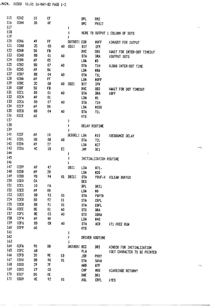$\sim$ 

| 115<br>116        | 02A2<br>02A4 | 10<br>30 | CF<br>AF |                |                     | <b>BPL</b><br>BMI | RM <sub>2</sub><br>PRXIT |                                     |
|-------------------|--------------|----------|----------|----------------|---------------------|-------------------|--------------------------|-------------------------------------|
| 117<br>118        |              |          |          |                | ÷<br>ĵ              |                   |                          | HERE TO OUTPUT 1 COLUMN OF DOTS     |
| 119<br>120<br>121 | 02A6<br>02A8 | 49<br>2C | FF<br>0D | A0.            | OUTDOT: EOR<br>OD1: | BIT               | $*0FF$<br>IFR            | <b>FINVERT FOR OUTPUT</b>           |
| 122               | 02AB         | 50       | FB       |                |                     | BUC               | OD1                      | FWAIT FOR INTER-DOT TIMEOUT         |
| 123<br>124        | 02AD<br>02B0 | 80<br>Α9 | 01<br>05 | A0             |                     | <b>STA</b><br>LDA | DRA<br>$\ddagger$ 5      | FOUTPUT DOTS                        |
| 125<br>126        | 02B2<br>02B5 | 8D       | 07       | 40             |                     | <b>STA</b>        | T1H                      | FLOAD INTER-DOT TIME                |
| 127               | 02B7         | А9<br>80 | 86<br>04 | A0             |                     | LDA<br><b>STA</b> | #86<br>TL                |                                     |
| 128               | 02BA         | А9       | FF       |                |                     | LDA               | #OFF                     |                                     |
| 129<br>130        | 02BC<br>02BF | 20       | 0D       | A0             | $0D2$ :             | BIT               | <b>IFR</b>               |                                     |
| 131               | 02C1         | 50<br>8D | FB<br>01 |                |                     | <b>BVC</b>        | 0D2                      | FWAIT FOR DOT TIMEOUT               |
| 132               | 02C4         | A9       | 01       | A0             |                     | <b>STA</b>        | DRA                      | ;0FF                                |
| 133               | 02C6         | 80       | 07       | A <sub>0</sub> |                     | LDA<br><b>STA</b> | #1<br>T1H                |                                     |
| 134               | 0209         | А9       | DO.      |                |                     | LDA               | <b>#0D0</b>              |                                     |
| 135               | 02CB         | 80       | 04       | A0             |                     | <b>STA</b>        | <b>TIL</b>               |                                     |
| 136               | 02CE         | 60       |          |                |                     | <b>RTS</b>        |                          |                                     |
| 137               |              |          |          |                | ì                   |                   |                          |                                     |
| 138               |              |          |          |                | ĵ                   |                   | DELAY ROUTINE            |                                     |
| 139               |              |          |          |                | ĵ                   |                   |                          |                                     |
| 140               | 02CF         | А9       | 10       |                | DEBDEL: LDA         |                   | #10                      | FDEBOUNCE DELAY                     |
| 141               | 02D1         | 90       | 08       | Α8             |                     | <b>STA</b>        | T2L                      |                                     |
| 142               | 0204         | А9       | 27       |                |                     | LDA               | #27                      |                                     |
| 143               | 0296         | 4C       | 18       | EC             |                     | <b>JMP</b>        | DE1                      |                                     |
| 144               |              |          |          |                | ĵ                   |                   |                          |                                     |
| 145               |              |          |          |                | ĵ                   |                   |                          | INITIALIZATION ROUTINE              |
| 146<br>147        |              |          |          |                | ÷                   |                   |                          |                                     |
| 148               | 02D9<br>02DB | А9       | 47       |                | DRI:                | LDA               | #71.                     |                                     |
| 149               | 02DD         | Α9<br>9D | 20<br>94 |                |                     | LDA               | <b>#20</b>               |                                     |
| 150               | 02E0         | CA       |          | 01             | DRI1:               | STA<br>DEX        | PBUF, X                  | <b>FCLEAR BUFFER</b>                |
| 151               | 02E1         | 10       | FA       |                |                     | <b>BPL</b>        |                          |                                     |
| 152               | 02E3         | А9       | 00       |                |                     | LDA               | DRI1<br>#0               |                                     |
| 153               | 02E5         | 80       | 93       | 01             |                     | <b>STA</b>        | PBPTR                    |                                     |
| 154               | 02E8         | 80       | 92       | 01             |                     | <b>STA</b>        | CRFL                     |                                     |
| 155               | 02EB         | 80       | 91       | 01             |                     | <b>STA</b>        | <b>EQFL</b>              |                                     |
| 156               | 02EE         | 8E       | 01       | A0             |                     | <b>STX</b>        | DRA                      |                                     |
| 157               | 02F1         | 8E       | 03       | A0             |                     | <b>STX</b>        | DDRA                     |                                     |
| 158               |              |          |          |                |                     |                   |                          |                                     |
| 159               | 02F4         | А9       | 40       |                |                     |                   |                          |                                     |
| 160               | 02F6         | 80       | 0B       | A0             |                     | LDA<br><b>STA</b> | #40                      |                                     |
|                   | 02F9         | 60       |          |                |                     | <b>RTS</b>        | ACR                      | <b>FT1 FREE RUN</b>                 |
| 161               |              |          |          |                | ĵ                   |                   |                          |                                     |
| 162               |              |          |          |                | ĵ                   |                   | DRIVER ROUTINE           |                                     |
| 163               |              |          |          |                |                     |                   |                          |                                     |
| 164               | 02FA         | 90       | DD       |                | DRIVER: BCC         |                   | DRI                      | FCHECK FOR INITIALIZATION           |
| 165               | 02FC         | 68       |          |                |                     | PLA               |                          | <b>FGET CHARACTER TO BE PRINTED</b> |
| 166               | 02FD         | 20       | 9E       | EВ             |                     | <b>JSR</b>        | <b>PHXY</b>              |                                     |
| 167               | 0300         | 80       | 90       | 01             |                     | <b>STA</b>        | SAVA                     |                                     |
| 168               | 0303         | 29       | 7F       |                |                     | and               | ‡7F                      |                                     |
| 169               | 0305         | C9       | OD.      |                |                     | CMP               | #0D                      | <b>CARRIAGE RETURN?</b>             |
| 170<br>171        | 0307<br>0309 | DO<br>0E | 0E<br>92 | 01             |                     | BNE<br>ASL        | DR1<br><b>CRFL</b>       | <b>; YES</b>                        |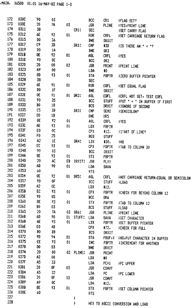| 172 | 030C | `90                     | 03 |     |                   | <b>BCC</b>         | CR1          | <b>FLAG SET?</b>                                          |
|-----|------|-------------------------|----|-----|-------------------|--------------------|--------------|-----------------------------------------------------------|
| 173 | 030E | 20                      | 7A | 03  |                   | <b>JSR</b>         | PLINE        | <b>FYES, PRINT LINE</b>                                   |
| 174 | 0311 | 38                      |    |     | CR1:              | SEC                |              | <b>JSET CARRY FLAG</b>                                    |
| 175 | 0312 | 6E                      | 92 | 01  |                   | ROR                | <b>CRFL</b>  | FSET CARRIAGE RETURN FLAG                                 |
| 176 | 0315 | DO.                     | 36 |     |                   | BNE                | DRXIT        |                                                           |
| 177 | 0317 | C9                      | 3D |     | DR1:              | <b>CMP</b>         | #3D          | <b>FIS THERE AN <math>\mathbf{r} = \mathbf{r}</math>?</b> |
| 178 | 0319 | $\mathbf{D} \mathbf{O}$ | 1A |     |                   | BNE                | DR3          |                                                           |
| 179 | 031B | 0E                      | 92 | 01  |                   | <b>ASL</b>         | <b>CRFL</b>  | <b>TYES</b>                                               |
| 180 | 031E | 90                      | 0E |     |                   | <b>BCC</b>         | DR2          |                                                           |
| 181 | 0320 | 20                      | 00 | 02  |                   | <b>JSR</b>         | <b>FRINT</b> | FRINT LINE                                                |
| 182 | 0323 | A9                      | 00 |     |                   | LDA                | 10           |                                                           |
| 183 | 0325 | 8D                      | 93 | 01  |                   | <b>STA</b>         | <b>PBPTR</b> | <b>FZERD BUFFER POINTER</b>                               |
| 184 | 0328 | 38                      |    |     |                   | <b>SEC</b>         |              |                                                           |
| 185 | 0329 | 6E                      | 91 | 01  |                   | <b>ROR</b>         | EQFL         | <b>FSET EQUAL FLAG</b>                                    |
| 186 | 032C | <b>DO</b>               | 1F |     |                   | <b>BNE</b>         | DRXIT        |                                                           |
| 187 | 032E | 0E                      | 91 | 01. | DR <sub>2</sub> : | <b>ASL</b>         | <b>EOFL</b>  | FCRFL NOT SET, TEST EQFL                                  |
| 188 | 0331 | 90                      | 35 |     |                   | <b>BCC</b>         | <b>STUFF</b> | FPUT ' = ' IN BUFFER IF FIRST                             |
| 189 | 0333 | 80                      | 18 |     |                   | <b>BCS</b>         | DRXIT        | <b>FIGNORE IF SECOND</b>                                  |
| 190 | 0335 | c <sub>5</sub>          | 38 |     | DR3:              | <b>CMP</b>         | SEMI         | <b><i>FSEMICOLON?</i></b>                                 |
| 191 | 0337 | D0                      | 1B |     |                   | <b>BNE</b>         | DR5          |                                                           |
| 192 | 0339 | 0E                      | 92 | 01  |                   | ASL                | <b>CRFL</b>  |                                                           |
| 193 | 033C | AE                      | 93 | 01  |                   | LDX                |              | <b>TYES</b>                                               |
| 194 | 033F | E0                      | œ  |     |                   | CPX                | PBPTR        |                                                           |
| 195 | 0341 | F0                      | 25 |     |                   | <b>BEQ</b>         | #12.         | <b>FSTART OF LINE?</b>                                    |
| 196 | 0343 | A2                      | 1E |     | DR4:              |                    | <b>STUFF</b> |                                                           |
| 197 | 0345 | EC                      | 93 | 01  |                   | LDX                | $+30.$       | 7NO                                                       |
| 198 | 0348 | 90                      | 03 |     |                   | <b>CPX</b>         | <b>FBPTR</b> | FTAB TO COLUMN 30                                         |
| 199 | 034A | 8E                      | 93 | 01  |                   | BCC                | DRXIT        |                                                           |
| 200 | 034D | 20                      | AC | EB  | DRXIT:            | <b>STX</b>         | <b>PBPTR</b> |                                                           |
| 201 | 0350 | AD                      | 90 | 01  |                   | <b>JSR</b>         | PLXY         |                                                           |
| 202 | 0353 | 60                      |    |     |                   | LDA                | SAVA         | $\mathcal{L}$                                             |
| 203 | 0354 | 0E                      | 92 | 01. |                   | <b>RTS</b>         |              |                                                           |
| 204 | 0357 | 90                      | 0F |     | DR5:              | ASL                | <b>CRFL</b>  | FNOT CARRIAGE RETURN, EQUAL OR SEMICOLON                  |
| 205 | 0359 | A2                      | 0C |     |                   | BCC                | <b>STUFF</b> | <b>FLOAD</b>                                              |
| 206 | 035B | EC                      |    |     |                   | LDX                | #12.         |                                                           |
| 207 | 035E | 90                      | 93 | 01  |                   | <b>CPX</b>         | <b>PBPTR</b> | FCHECK FOR BEYOND COLUMN 12                               |
| 208 | 0360 |                         | 05 |     |                   | BCC                | DR6          |                                                           |
| 209 | 0363 | 8E                      | 93 | 01  |                   | <b>STX</b>         | PBPTR        | FTAB TO COLUMN 12                                         |
| 210 | 0365 | B0                      | 03 |     |                   | <b>BCS</b>         | <b>STUFF</b> | <b>;LOAD</b>                                              |
| 211 | 0368 | 20                      | 7A | 03. | DR6:              | <b>JSR</b>         | PLINE        | <b><i>FRINT LINE</i></b>                                  |
| 212 | 036B | AD                      | 90 | 01  | STUFF:            | LDA                | <b>SAVA</b>  | <b>FGET CHARACTER</b>                                     |
| 213 | 036E | AE                      | 93 | 01  |                   | LDX                | <b>FBPTR</b> | FOET BUFFER POINTER                                       |
| 214 | 0370 | E0                      | 48 |     |                   | <b>CPX</b>         | #72.         | FCHECK FOR FULL                                           |
| 215 | 0372 | B0                      | DB |     |                   | <b>BCS</b>         | <b>IRXIT</b> |                                                           |
| 216 | 0375 | 9D                      | 94 | 01  |                   | <b>STA</b>         | PBUF, X      | FNO, FUT CHARACTER IN BUFFER                              |
| 217 |      | EE                      | 93 | 01  |                   | <b>INC</b>         | <b>PBPTR</b> | <b>FINCREMENT FOR ANOTHER</b>                             |
| 218 | 0378 | DO.                     | D3 |     |                   | <b>BNE</b>         | DRXIT        |                                                           |
| 219 | 037A | 20                      | 00 |     | 02 PLINE:         | <b>JSR</b>         | PRINT        |                                                           |
|     | 037D | А2                      | 00 |     |                   | LDX<br>$\clubsuit$ |              |                                                           |
| 220 | 037F | A5                      | 33 |     |                   | LDA                | PC+1         | <b>FC UPPER</b>                                           |
| 221 | 0381 | 20                      | 8F | 03  |                   | <b>JSR</b>         | <b>CONVT</b> |                                                           |
| 222 | 0384 | A5                      | 32 |     |                   | LDA<br>PC          |              | <b>FPC LOWER</b>                                          |
| 223 | 0386 | 20                      | 8F | 03  |                   | <b>JSR</b>         | <b>CONVT</b> |                                                           |
| 224 | 0389 | А9                      | 0C |     |                   | LDA                | #12.         |                                                           |
| 225 | 038B | 8E                      | 93 | 01  |                   | <b>STX</b>         | <b>FBPTR</b> | <b>FSET COLUMN POINTER</b>                                |
| 226 | 038E | 60                      |    |     |                   | <b>RTS</b>         |              |                                                           |
| 227 |      |                         |    |     | ĵ                 |                    |              |                                                           |
| 228 |      |                         |    |     | ţ                 |                    |              | HEX TO ASCII CONVERSION AND LOAD                          |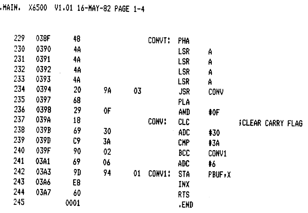.MAIN. X6500 V1.01 16-HAY-82 PAGE 1-4

| 038F | 48   |    |          |              |                  |                                                                                                                                                 |                                                                                                |                   |
|------|------|----|----------|--------------|------------------|-------------------------------------------------------------------------------------------------------------------------------------------------|------------------------------------------------------------------------------------------------|-------------------|
| 0390 | 4A   |    |          |              |                  |                                                                                                                                                 |                                                                                                |                   |
| 0391 | 4A   |    |          |              |                  |                                                                                                                                                 |                                                                                                |                   |
| 0392 | 4A   |    |          |              |                  |                                                                                                                                                 |                                                                                                |                   |
| 0393 | 4A   |    |          |              |                  |                                                                                                                                                 |                                                                                                |                   |
| 0394 | 20   | 9Α | 03       |              |                  |                                                                                                                                                 |                                                                                                |                   |
| 0397 | 68   |    |          |              |                  |                                                                                                                                                 |                                                                                                |                   |
| 0398 | 29   | 0F |          |              |                  |                                                                                                                                                 |                                                                                                |                   |
| 039A | 18   |    |          | <b>CONV:</b> |                  |                                                                                                                                                 |                                                                                                |                   |
| 039B | 69   | 30 |          |              |                  |                                                                                                                                                 |                                                                                                |                   |
| 039D | C9   | 3A |          |              |                  |                                                                                                                                                 |                                                                                                |                   |
| 039F | 90   | 02 |          |              |                  |                                                                                                                                                 |                                                                                                |                   |
| 03A1 | 69   |    |          |              |                  |                                                                                                                                                 |                                                                                                |                   |
| 03A3 | 9D   |    |          |              |                  |                                                                                                                                                 |                                                                                                |                   |
| 03A6 | E8   |    |          |              |                  |                                                                                                                                                 |                                                                                                |                   |
| 03A7 | 60   |    |          |              |                  |                                                                                                                                                 |                                                                                                |                   |
|      | 0001 |    |          |              | <b>.END</b>      |                                                                                                                                                 |                                                                                                |                   |
|      |      |    | 06<br>94 | 01           | CONVT:<br>CONV1: | PHA<br>LSR<br>LSR<br><b>LSR</b><br>LSR<br><b>JSR</b><br>PLA<br>and<br><b>CLC</b><br>adc<br>Chp<br>BCC<br>ADC<br><b>STA</b><br>INX<br><b>RTS</b> | А<br>A<br>A<br>A<br><b>CONV</b><br>#0F<br>\$30<br><b>#3A</b><br>CONV1<br>#6<br><b>PBUF</b> * X | FCLEAR CARRY FLAG |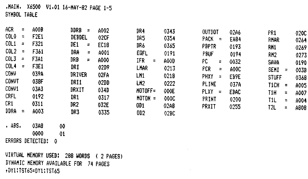·HAIN. X6500 VI.0I 16-KAY-82 PAGE 1-5

SYKBOL TABLE

| acr              | $\overline{a}$ | A00B                          | DDRB<br>$\mathbf{r}$ | A002        | DR4       | 0343        | <b>OUTBOT</b>                 | 02A6        | FR1                         | 0200 |
|------------------|----------------|-------------------------------|----------------------|-------------|-----------|-------------|-------------------------------|-------------|-----------------------------|------|
| COL <sub>0</sub> | Ξ.             | F <sub>2</sub> E <sub>1</sub> | DEBBEL               | <b>02CF</b> | DR5.      | 0354        | PACK.<br>$\equiv$             | <b>EA84</b> |                             |      |
| COL1             | $\equiv$       | F321                          | DE1<br>÷.            | EC18        | DR6.      |             |                               |             | RMAR                        | 0264 |
|                  |                |                               |                      |             |           | 0365        | PBPTR                         | 0193        | RM1                         | 0269 |
| COL <sub>2</sub> | $\equiv$       | F361                          | DRA<br>Ξ             | A001        | EQFL      | 0191        | <b>FBUF</b>                   | 0194        | RM2                         | 0273 |
| COL3             | $\equiv$       | F3A1                          | DRB<br>$\equiv$      | A000        | IFR<br>Ξ  | <b>A00D</b> | РC<br>Ξ                       | 0032        | <b>SAVA</b>                 | 0190 |
| COL <sub>4</sub> | $\equiv$       | F3E1                          | DRI                  | 02D9        | LNAR      | 0213        | FCR<br>$\equiv$               | A0OC        | SEMI<br>$\equiv$            | 003B |
| <b>CONV</b>      |                | 039A                          | DRIVER               | 02FA        | LM1       | 0218        | PHXY<br>$\equiv$              | EB9E        | <b>STUFF</b>                | 0368 |
| <b>CONVT</b>     |                | 038F                          | DRI1                 | 02DD        | LK2.      | 0222        | PLINE                         | 037A        |                             |      |
| CONV1            |                | 03A3                          |                      |             |           |             |                               |             | <b>TICH</b><br>$\equiv$     | A005 |
|                  |                |                               | DRXIT                | 034D        | NOTOFF=   | 000E        | <b>PLXY</b><br>$\overline{a}$ | EBAC        | T1H<br>$\equiv$             | A007 |
| CRFL             |                | 0192                          | DR 1                 | 0317        | $MOTON =$ | <b>000C</b> | PRINT                         | 0200        | T <sub>1L</sub><br>$\equiv$ | A004 |
| CR1              |                | 0311                          | DR2                  | 032E        | OD 1      | 02A8        | FRXIT                         |             |                             |      |
| DDRA             | $\equiv$       | A003                          | DR 3                 | 0335        |           |             |                               | 0255        | T2L<br>$\equiv$             | A808 |
|                  |                |                               |                      |             | OD2       | 02BC        |                               |             |                             |      |

• ADS. 03A8 00 0000 01 ERRORS DETECTED: 0

VIRTUAL HEHORY USED: 288 WORDS ( 2 PAGES) DYNAMIC KEMORY AVAILABLE FOR 74 PAGES ,OY1:TST65=DY1:TST65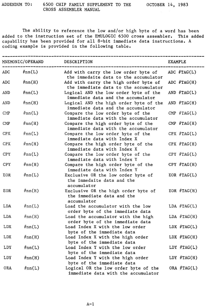The ability to reference the low and/or high byte of a word has been added to the instruction set of the EMULOGIC 6500 cross assembler. This added capability has been provided for all 8-bit immediate data instructions. A coding example is provided in the following table.

| MNEMONIC/OPERAND |        | DESCRIPTION                                                                      | <b>EXAMPLE</b> |  |  |
|------------------|--------|----------------------------------------------------------------------------------|----------------|--|--|
| <b>ADC</b>       | #nn(L) | Add with carry the low order byte of<br>the immedaite data to the accumulator    | ADC $#TAG(L)$  |  |  |
| ADC              | #nn(H) | Add with carry the high order byte of<br>the immediate data to the accumulator   | ADC $#TAG(H)$  |  |  |
| AND              | #nn(L) | Logical AND the low order byte of the<br>immediate data and the accumulator      | AND $#TAG(L)$  |  |  |
| AND              | #nn(H) | Logical AND the high order byte of the<br>immediate data and the accumulator     | AND $#TAG(H)$  |  |  |
| CMP              | #nn(L) | Compare the low order byte of the<br>immediate data with the accumulator         | CMP $#TAG(L)$  |  |  |
| $\mathbf{CMP}$   | #nn(H) | Compare the high order byte of the<br>immediate data with the accumulator        | CMP $#TAG(H)$  |  |  |
| <b>CPX</b>       | #nn(L) | Compare the low order byte of the<br>immediate data with Index X                 | $CPX$ #TAG(L)  |  |  |
| <b>CPX</b>       | #nn(H) | Compare the high order byte of the<br>immediate data with Index X                | $CPX$ #TAG(H)  |  |  |
| <b>CPY</b>       | #nn(L) | Compare the low order byte of the<br>immediate data with Index Y                 | $CPY$ #TAG(L)  |  |  |
| CPY.             | #nn(H) | Compare the high order byte of the<br>immediate data with Index Y                | CPY $#TAG(H)$  |  |  |
| EOR              | #nn(L) | Exclusive OR the low order byte of<br>the immedaite data and the<br>accumulator  | EOR $#TAG(L)$  |  |  |
| EOR.             | #nn(H) | Exclusive OR the high order byte of<br>the immediate data and the<br>accumulator | EOR $#TAG(H)$  |  |  |
| LDA.             | #nn(L) | Load the accumulator with the low<br>order byte of the immediate data            | LDA $#TAG(L)$  |  |  |
| LDA              | #nn(H) | Load the accumulator with the high<br>order byte of the immediate data           | LDA $#TAG(H)$  |  |  |
| LDX.             | #nn(L) | Load Index X with the low order<br>byte of the immediate data                    | LDX $#TAG(L)$  |  |  |
| <b>LDX</b>       | #nn(H) | Load Index X with the high order<br>byte of the immediate data                   | LDX $#TAG(H)$  |  |  |
| LDY              | #nn(L) | Load Index Y with the low order<br>byte of the immediate data                    | LDY $#TAG(L)$  |  |  |
| LDY              | #nn(H) | Load Index Y with the high order<br>byte of the immediate data                   | LDY #TAG(H)    |  |  |
| 0RA              | #nn(L) | Logical OR the low order byte of the<br>immediate data with the accumulator      | ORA #TAG(L)    |  |  |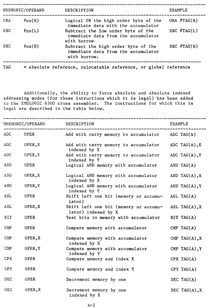| MNEMONIC/OPERAND |        | DESCRIPTION                                                                                | <b>EXAMPLE</b> |  |  |
|------------------|--------|--------------------------------------------------------------------------------------------|----------------|--|--|
| <b>ORA</b>       | #nn(H) | Logical OR the high order byte of the<br>immediate data with the accumulator               | ORA $#TAG(H)$  |  |  |
| <b>SBC</b>       | #nn(L) | Subtract the low order byte of the<br>immediate data from the accumulator<br>with borrow   | SBC $#TAG(L)$  |  |  |
| <b>SBC</b>       | #nn(H) | Subtract the high order byte of the<br>immediate data from the accumulator<br>with borrow. | SBC $#TAG(H)$  |  |  |
| <b>TAG</b>       |        | = absolute reference, relocatable reference, or global reference                           |                |  |  |

Additionally, the ability to force absolute and absolute indexed addressing modes (for those intructions which it is legal) has been added to the EMULOGIC 6500 cross assembler. The instructions for which this is legal are described in the table below.

|                | MNEMONIC/OPERAND | DESCRIPTION                                                  | EXAMPLE           |  |  |
|----------------|------------------|--------------------------------------------------------------|-------------------|--|--|
| ADC            | OPER             | Add with carry memory to accumulator                         | ADC TAG(A)        |  |  |
| ADC            | OPER, X          | Add with carry memory to accumulator<br>indexed by X         | ADC TAG $(A)$ , X |  |  |
| ADC            | OPER, Y          | Add with carry memory to accumulator<br>indexed by Y         | ADC TAG(A), $Y$   |  |  |
| AND            | OPER             | Logical AND memory with accumulator                          | AND TAG(A)        |  |  |
| AND            | OPER, X          | Logical AND memory with accumulator<br>indexed by X          | AND TAG(A), $X$   |  |  |
| AND            | OPER, Y          | Logical AND memory with accumulator<br>indexed by Y          | AND TAG(A), $Y$   |  |  |
| <b>ASL</b>     | OPER             | Shift left one bit (memory or accumu-<br>lator)              | ASL TAG $(A)$     |  |  |
| <b>ASL</b>     | OPER, X          | Shift left one bit (memory or accumu-<br>lator) indexed by X | ASL TAG $(A)$ , X |  |  |
| BIT            | OPER             | Test bits in memory with accumulator                         | BIT TAG(A)        |  |  |
| CMP            | <b>OPER</b>      | Compare memory with accumulator                              | $CMP$ TAG(A)      |  |  |
| $\mathbf{CMP}$ | OPER, X          | Compare memory with accumulator<br>indexed by X              | CMP TAG(A), $X$   |  |  |
| $\text{CMP}$   | OPER, Y          | Compare memory with accumulator<br>indexed by Y              | CMP TAG(A), Y     |  |  |
| <b>CPX</b>     | OPER             | Compare memory and index X                                   | $CPX$ TAG(A)      |  |  |
| <b>CPY</b>     | OPER             | Compare memory and index Y                                   | CPY TAG(A)        |  |  |
| DEC            | <b>OPER</b>      | Decrement memory by one                                      | DEC TAG $(A)$     |  |  |
| DEC            | OPER, X          | Decrement memory by one<br>indexed by X                      | DEC TAG(A), $X$   |  |  |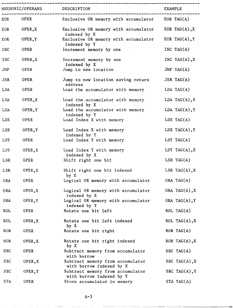|            | MNEMONIC/OPERAND | DESCRIPTION                                                          | <b>EXAMPLE</b>    |
|------------|------------------|----------------------------------------------------------------------|-------------------|
| EOR        | OPER             | Exclusive OR memory with accumulator                                 | EOR TAG $(A)$     |
| EOR        | OPER, X          | Exclusive OR memory with accumulator                                 | EOR TAG(A), $X$   |
| EOR        | OPER, Y          | indexed by X<br>Exclusive OR memory with accumulator<br>indexed by Y | EOR TAG(A), $Y$   |
| <b>INC</b> | OPER             | Increment memory by one                                              | INC TAG(A)        |
| <b>INC</b> | OPER, X          | Increment memory by one<br>indexed by X                              | INC TAG(A), $X$   |
| JMP        | OPER             | Jump to new location                                                 | JMP TAG $(A)$     |
| <b>JSR</b> | <b>OPER</b>      | Jump to new location saving return<br>address                        | JSR TAG(A)        |
| LDA        | OPER             | Load the accumulator with memory                                     | LDA TAG(A)        |
| LDA        | OPER, X          | Load the accumulator with memory<br>indexed by X                     | LDA TAG $(A)$ , X |
| LDA        | OPER, Y          | Load the accumulator with memory<br>indexed by Y                     | LDA TAG $(A)$ , Y |
| <b>LDX</b> | OPER             | Load Index X with memory                                             | LDX TAG(A)        |
| <b>LDX</b> | OPER, Y          | Load Index X with memory<br>indexed by Y                             | LDX TAG(A), $Y$   |
| LDY        | OPER             | Load Index Y with memory                                             | LDY TAG(A)        |
| LDY        | OPER, X          | Load Index Y with memory<br>indexed by X                             | LDY TAG(A), $X$   |
| LSR        | OPER             | Shift right one bit                                                  | LSR $TAG(A)$      |
| LSR        | OPER, X          | Shift right one bit indexed<br>by X                                  | LSR TAG $(A)$ , X |
| <b>ORA</b> | OPER             | Logical OR memory with accumulator                                   | ORA TAG(A)        |
| 0RA        | OPER, X          | Logical OR memory with accumulator<br>indexed by X                   | ORA TAG $(A)$ , X |
| <b>ORA</b> | OPER, Y          | Logical OR memory with accumulator<br>indexed by Y                   | ORA TAG(A), $Y$   |
| <b>ROL</b> | OPER             | Rotate one bit left                                                  | $ROL$ $TAG(A)$    |
| <b>ROL</b> | OPER, X          | Rotate one bit left indexed<br>by X                                  | ROL TAG(A), $X$   |
| <b>ROR</b> | OPER             | Rotate one bit right                                                 | ROR TAG $(A)$     |
| <b>ROR</b> | OPER, X          | Rotate one bit right indexed<br>by X                                 | ROR TAG $(A)$ , X |
| <b>SBC</b> | OPER             | Subtract memory from accumulator<br>with borrow                      | SBC TAG $(A)$     |
| SBC        | OPER, X          | Subtract memory from accumulator<br>with borrow indexed by X         | SBC TAG $(A)$ , X |
| <b>SBC</b> | OPER, Y          | Subtract memory from accumulator<br>with borrow indexed by Y         | SBC TAG $(A)$ , Y |
| <b>STA</b> | OPER             | Store accumulator in memory                                          | STA TAG(A)        |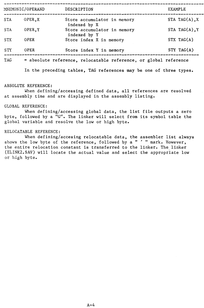|            | MNEMONIC/OPERAND | DESCRIPTION                                                      | EXAMPLE           |
|------------|------------------|------------------------------------------------------------------|-------------------|
| <b>STA</b> | OPER, X          | Store accumulator in memory<br>indexed by X                      | STA TAG $(A)$ , X |
| <b>STA</b> | OPER, Y          | Store accumulator in memory<br>indexed by Y                      | STA TAG $(A)$ , Y |
| <b>STX</b> | <b>OPER</b>      | Store index X in memory                                          | STX TAG(A)        |
| <b>STY</b> | OPER             | Store index Y in memory                                          | STY TAG(A)        |
| <b>TAG</b> |                  | = absolute reference, relocatable reference, or global reference |                   |

In the preceding tables, TAG references may be one of three types.

# ABSOLUTE REFERENCE:

When defining/accessing defined data, all references are resolved at assembly time and are displayed in the assembly listing.

#### GLOBAL REFERENCE:

When defining/accessing global data, the list file outputs a zero byte, followed by a "G". The linker will select from its symbol table the global variable and resolve the low or high byte.

# RELOCATABLE REFERENCE:

When defining/accesing relocatable data, the assembler list always shows the low byte of the reference, followed by a " ' " mark. However, the entire relocation constant is transferred to the linker. The linker (ELINK2.SAV) will locate the actual value and select the appropriate low or high byte.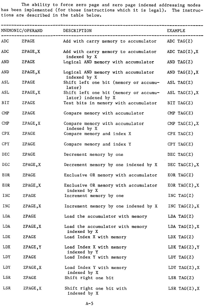The ability to force zero page and zero page indexed addressing modes has been implemented (for those instructions which it is legal). The instructions are described in the table below.

| MNEMONIC/OPERAND DESCRIPTION |          |                                                              | EXAMPLE           |  |
|------------------------------|----------|--------------------------------------------------------------|-------------------|--|
| ADC                          | ZPAGE    | Add with carry memory to accumulator $ADC TAG(Z)$            |                   |  |
| ADC                          | ZPAGE, X | Add with carry memory to accumulator<br>indexed by X         | ADC TAG(Z), $X$   |  |
| AND                          | ZPAGE    | Logical AND memory with accumulator                          | AND TAG $(2)$     |  |
| AND                          | ZPAGE, X | Logical AND memory with accumulator<br>indexed by X          | AND TAG(Z), $X$   |  |
| <b>ASL</b>                   | ZPAGE    | Shift left one bit (memory or accumu-<br>lator)              | ASL TAG $(Z)$     |  |
| ASL                          | ZPAGE, X | Shift left one bit (memory or accumu-<br>lator) indexed by X | ASL TAG $(Z)$ , X |  |
| BIT                          | ZPAGE    | Test bits in memory with accumulator                         | BIT TAG $(2)$     |  |
| $\mathbf{CMP}$               | ZPAGE    | Compare memory with accumulator                              | $CMP$ TAG(Z)      |  |
| $\text{CMP}$                 | ZPAGE, X | Compare memory with accumulator<br>indexed by X              | CMP TAG(Z), $X$   |  |
| <b>CPX</b>                   | ZPAGE    | Compare memory and index X                                   | CPX TAG(Z)        |  |
| CPY                          | ZPAGE    | Compare memory and index Y                                   | CPY TAG(Z)        |  |
| DEC                          | ZPAGE    | Decrement memory by one                                      | DEC TAG $(Z)$     |  |
| DEC                          | ZPAGE, X | Decrement memory by one indexed by X                         | DEC TAG(Z), $X$   |  |
| EOR                          | ZPAGE    | Exclusive OR memory with accumulator                         | EOR TAG $(2)$     |  |
| <b>EOR</b>                   | ZPAGE, X | Exclusive OR memory with accumulator                         | EOR TAG(Z), $X$   |  |
| <b>INC</b>                   | ZPAGE    | indexed by X<br>Increment memory by one                      | INC TAG( $Z$ )    |  |
| INC                          | ZPAGE, X | Increment memory by one indexed by X                         | INC TAG(Z), $X$   |  |
| LDA                          | ZPAGE    | Load the accumulator with memory                             | LDA TAG(Z)        |  |
| LDA                          | ZPAGE, X | Load the accumulator with memory<br>indexed by X             | LDA TAG $(Z)$ , X |  |
| <b>LDX</b>                   | ZPAGE    | Load Index X with memory                                     | LDX $TAG(Z)$      |  |
| LDX                          | ZPAGE, Y | Load Index X with memory                                     | LDX TAG(Z), $Y$   |  |
| LDY                          | ZPAGE    | indexed by Y<br>Load Index Y with memory                     | LDY TAG $(2)$     |  |
| LDY                          | ZPAGE, X | Load Index Y with memory                                     | LDY TAG(Z), $X$   |  |
| LSR                          | ZPAGE    | indexed by X<br>Shift right one bit                          | LSR $TAG(Z)$      |  |
| LSR                          | ZPAGE, X | Shift right one bit with<br>indexed by X                     | LSR TAG(Z), $X$   |  |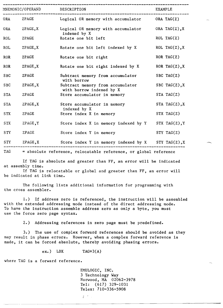| MNEMONIC/OPERAND |          | DESCRIPTION                                                      | EXAMPLE           |
|------------------|----------|------------------------------------------------------------------|-------------------|
| ORA              | ZPAGE    | Logical OR memory with accumulator                               | ORA TAG $(2)$     |
| 0RA              | ZPAGE, X | Logical OR memory with accumulator                               | ORA TAG $(Z)$ , X |
| <b>ROL</b>       | ZPAGE    | indexed by X<br>Rotate one bit left                              | $ROL$ $TAG(Z)$    |
| <b>ROL</b>       | ZPAGE, X | Rotate one bit left indexed by X                                 | ROL TAG $(Z)$ , X |
| <b>ROR</b>       | ZPAGE    | Rotate one bit right                                             | ROR TAG $(2)$     |
| <b>ROR</b>       | ZPAGE, X | Rotate one bit right indexed by X                                | ROR TAG(Z), $X$   |
| <b>SBC</b>       | ZPAGE    | Subtract memory from accumulator                                 | SBC TAG $(Z)$     |
| <b>SBC</b>       | ZPAGE, X | with borrow<br>Subtract memory from accumulator                  | SBC TAG(Z), $X$   |
| <b>STA</b>       | ZPAGE    | with borrow indexed by X<br>Store accumulator in memory          | STA TAG(Z)        |
| <b>STA</b>       | ZPAGE, X | Store accumulator in memory                                      | STA TAG $(Z)$ , X |
| <b>STX</b>       | ZPAGE    | indexed by X<br>Store index X in memory                          | STX TAG(Z)        |
| <b>STX</b>       | ZPAGE, Y | Store index X in memory indexed by Y                             | STX TAG $(Z)$ , Y |
| <b>STY</b>       | ZPAGE    | Store index Y in memory                                          | STY TAG(Z)        |
| <b>STY</b>       |          | $ZPAGE, X$ Store index Y in memory indexed by X STY TAG(Z), X    |                   |
| TAG              |          | = absolute reference, relocatable reference, or global reference |                   |

If TAG is absolute and greater than FF, an error will be indicated at assembly time.

If TAG is relocatable or global and greater than FF, an error will be indicated at link time.

The following lists additional information for programming with the cross assembler.

1.) If address zero is referenced, the instruction will be assembled with the extended addressing mode instead of the direct addressing mode. To have the instruction assemble address zero as only a byte, you must use the force zero page syntax.

2.) Addressing references in zero page must be predefined.

3.) The use of complex forward references should be avoided as they may result in phase errors. However, when a complex forward reference is made, it can be forced absolute, thereby avoiding phasing errors.

 $ex.$ ) LDX TAG+3(A)

where TAG is a forward reference.

EMULOGIC, INC. 3 Technology Way Norwood, MA 02062-3978 Tel: (617) 329-1031 Telex: 710-336-5908

 $\mathcal{F}^{(n)}$  and  $\mathcal{F}^{(n)}$  and  $\mathcal{F}^{(n)}$  and  $\mathcal{F}^{(n)}$  and  $\mathcal{F}^{(n)}$  and  $\mathcal{F}^{(n)}$  and  $\mathcal{F}^{(n)}$  and  $\mathcal{F}^{(n)}$  and  $\mathcal{F}^{(n)}$  and  $\mathcal{F}^{(n)}$  and  $\mathcal{F}^{(n)}$  and  $\mathcal{F}^{(n)}$  and  $\mathcal{F}^{(n)}$  and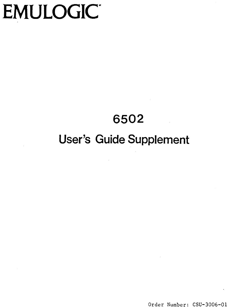# EMULOGIC<sup>®</sup>

# **6502 User's Guide Supplement**

Order Number: CSU-3006-01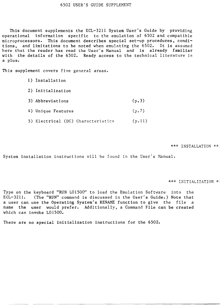This document supplements the ECL-3211 System User's Guide by providing operational information specific to the emulation of 6502 and compatible microprocessors. This document describes special set-up procedures, conditions, and limitations to be noted when emulating the 6502. It is assumed here that the reader has read the User's Manual and is already familiar with the details of the 6502. Ready access to the technical literature is a plus.

This supplement covers five general areas.

- 1) Installation 2) Initialization 3) Abbreviations (p. 3) 4) Unique Features (p.7)
	- 5) Electrical (DC) Characteristics (p.ll)

\*\*\* INSTALLATION \*\*

System installation instructions will be found in the User's Manual.

\*\*\* INITIALIZATION \*

Type on the keyboard "RUN L01500" to load the Emulation Software into the ECL-3211. (The "RUN" command is discussed in the User's Guide.) Note that a user can use the Operating System's RENAME function to give the file a name the user would prefer. Additionally, a Command File can be created which can invoke L01500.

There are no special initialization instructions for the 6502.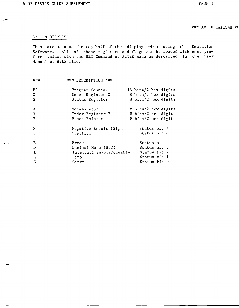# SYSTEM DISPLAY

 $\overline{\phantom{a}}$ 

These are seen on the top half of the display when using the Emulation Software. All of these registers and flags can be loaded with user prefered values with the SET Command or ALTER mode as described in the User Manual or HELP file.

| *** | *** DESCRIPTION ***      |  |                      |  |
|-----|--------------------------|--|----------------------|--|
| PC. | Program Counter          |  | 16 bits/4 hex digits |  |
| X   | Index Register X         |  | 8 bits/2 hex digits  |  |
| S   | Status Register          |  | 8 bits/2 hex digits  |  |
| A   | Accumulator              |  | 8 bits/2 hex digits  |  |
| Y   | Index Register Y         |  | 8 bits/2 hex digits  |  |
| P   | Stack Pointer            |  | 8 bits/2 hex digits  |  |
| N   | Negative Result (Sign)   |  | Status bit 7         |  |
| V   | $0$ verflow              |  | Status bit 6         |  |
|     |                          |  |                      |  |
| B   | Break                    |  | Status bit 4         |  |
| D   | Decimal Mode (BCD)       |  | Status bit 3         |  |
| I   | Interrupt enable/disable |  | Status bit 2         |  |
| Z   | Zero                     |  | Status bit l         |  |
|     | Carry                    |  | Status bit 0         |  |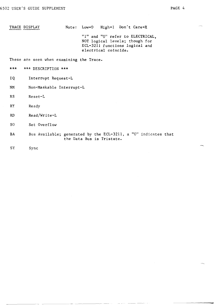TRACE DISPLAY Note: Low=O High=l Don't Care=X "I" and "0" refer to ELECTRICAL, NOT logical levels; though for ECL-3211 functions logical and electrical coincide.

These are seen when examining the Trace.

\*\*\* \*\*\* DESCRIPTION \*\*\*

- IQ Interrupt Request-L
- NM Non-Maskable Interrupt-L
- RS Reset-L
- RY Ready
- RD Read/Write-L
- SO Set Overflow
- BA Bus Available; generated by the ECL-3211, a "0" indicates that the Data Bus is Tristate.
- SY Sync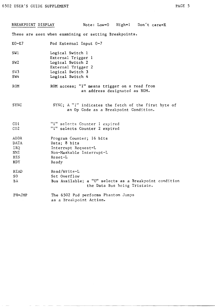| BREAKPOINT DISPLAY                 | Note: $Low=0$ High=1 Don't care=X                                                             |
|------------------------------------|-----------------------------------------------------------------------------------------------|
|                                    | These are seen when examining or setting Breakpoints.                                         |
| $E0-E7$                            | Pod External Input 0-7                                                                        |
| SWI                                | Logical Switch 1<br>External Trigger 1                                                        |
| SW <sub>2</sub>                    | Logical Switch 2<br>External Trigger 2                                                        |
| SW <sub>3</sub>                    | Logical Switch 3                                                                              |
| SW4                                | Logical Switch 4                                                                              |
| ROM                                | ROM access; "I" means trigger on a read from<br>an address designated as ROM.                 |
| <b>SYNC</b>                        | SYNC; A "1" indicates the fetch of the first byte of<br>an Op Code as a Breakpoint Condition. |
| CO <sub>1</sub><br>CO <sub>2</sub> | "1" selects Counter 1 expired<br>"1" selects Counter 2 expired                                |
| ADDR                               | Program Counter; 16 bits                                                                      |
| <b>DATA</b>                        | Data; 8 bits                                                                                  |
| IRQ                                | Interrupt Request-L                                                                           |
| NMI.<br><b>RES</b>                 | Non-Maskable Interrupt-L<br>$Reset-L$                                                         |
| RDY.                               | Ready                                                                                         |
|                                    |                                                                                               |
| <b>READ</b><br>SO.                 | Read/Write-L<br>Set Overflow                                                                  |
| BΑ                                 | Bus Available; a "0" selects as a Breakpoint condition<br>the Data Bus being Tristate.        |
| $PH=JMP$                           | The 6502 Pod performs Phantom Jumps<br>as a Breakpoint Action.                                |

-- -- - ------------------------------------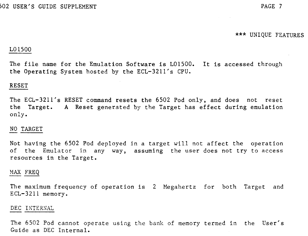**\*\*\*** UNIQUE FEATURES

# L01500

The file name for the Emulation Software is L01500. It is accessed through the Operating System hosted by the ECL-3211's CPU.

# RESET

The ECL-3211's RESET command resets the 6502 Pod only, and does not reset the Target. A Reset generated by the Target has effect during emulation only.

# NO TARGET

Not having the 6502 Pod deployed in a target will not affect the operation of the Emulator in any way, assuming the user does not try to access resources in the Target.

# MAX FREQ

The maximum frequency of operation is 2 Megahertz for both Target and ECL-3211 memory.

#### DEC INTERNAL

The 6502 Pod cannot operate using the bank of memory termed in the User's Guide as DEC Internal.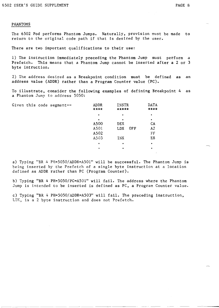#### PHANTOMS

The 6502 Pod performs Phantom Jumps. Naturally, provision must be made to return to the original code path if that is desired by the user.

There are two important qualifications to their use:

1) The instruction immediately preceding the Phantom Jump must perform a Prefetch. This means that a Phantom Jump cannot be inserted after a 2 or 3 byte intruction.

2) The address desired as a Breakpoint condition must be defined as an address value (ADDR) rather than a Program Counter value (PC).

To illustrate, consider the following examples of defining Breakpoint 4 as a Phantom Jump to address 5050:

|  | Given this code segment-- | ADDR<br>**** | INSTR<br>***** |     | <b>DATA</b><br>**** |
|--|---------------------------|--------------|----------------|-----|---------------------|
|  |                           | ٠            | ٠              |     | ٠                   |
|  |                           | ٠            | ٠              |     | ٠                   |
|  |                           | A500         | <b>DEX</b>     |     | CA                  |
|  |                           | A501         | <b>LDX</b>     | OFF | A2                  |
|  |                           | A502         |                |     | FF                  |
|  |                           | A503         | <b>INX</b>     |     | E8                  |
|  |                           | ٠            | ٠              |     | ٠                   |
|  |                           | ٠            | ٠              |     | ٠                   |

a) Typing "BR 4 PH=5050/ADDR=A501" will be successful. The Phantom Jump is being inserted by the Prefetch of a single byte instruction at a location defined as ADDR rather than PC (Program Counter).

b) Typing "BR 4 PH=5050/PC=A501" will fail. The address where the Phantom Jump is intended to be inserted is defined as PC, a Program Counter value.

c) Typing "BR 4 PH=5050/ ADDR=A503" will fail. The preceding instruction, LDX, is a 2 byte instruction and does not Prefetch.

----------------- ------ ---------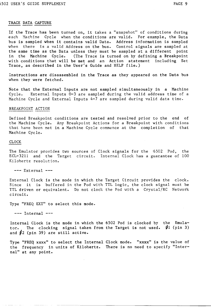# TRACE DATA CAPTURE

If the Trace has been turned on, it takes a "snapshot" of conditions during each Machine Cycle when the conditions are valid. For example, the Data bus is sampled when it contains valid Data. Address information is sampled when there is a valid Address on the bus. Control signals are sampled at the same time as the Data unless they must be sampled at a different point in the Machine Cycle. (The Trace is turned on by defining a Breakpoint with conditions that will be met and an Action statement including Set Trace, as described in the User's Guide and HELP file.)

Instructions are disassembled in the Trace as they appeared on the Data bus when they were fetched.

Note that the External Inputs are not sampled simultaneously in a Machine Cycle. External Inputs 0-3 are sampled during the valid address time of a Machine Cycle and External Inputs 4-7 are sampled during valid data time.

# BREAKPOINT ACTION

Defined Breakpoint conditions are tested and resolved prior to the end of the Machine Cycle. Any Breakpoint Actions for a Breakpoint with conditions that have been met in a Machine Cycle commence at the completion of that Machine Cycle.

#### CLOCK

The Emulator provides two sources of Clock signals for the '6502 Pod, the ECL-32ll and the Target circuit. Internal Clock has a guarantee of 100 Kilohertz resolution.

 $---$  External  $---$ 

External Clock is the mode in which the Target Circuit provides the clock. Since it is buffered in the Pod with TTL logic, the clock signal must be TTL driven or equivalent. Do not clock the Pod with a Crystal/RC Network circuit.

Type "FREQ EXT" to select this mode.

 $---$  Internal  $---$ 

Internal Clock is the mode in which the 6502 Pod is clocked by the Emulator. The clocking signal taken from the Target is not used.  $\emptyset$ l (pin 3) tor. The clocking signal take<br>and  $\oint$ 2 (pin 39) are still active.

Type "FREQ xxxx" to select the Internal Clock mode. "xxxx" is the value of the frequency in units of Kilohertz. There is no need to specify "Internal" at any point.

- ------~----------------------------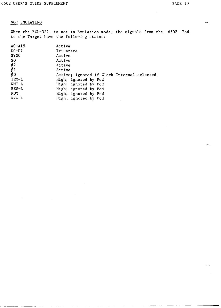# NOT EMULATING

When the ECL-3211 is not in Emulation mode, the signals from the 6502 Pod to the Target have the following status:

| $A0 - A15$          | Active                                     |
|---------------------|--------------------------------------------|
| DO-D7               | Tri-state                                  |
| <b>SYNC</b>         | Active                                     |
| S0                  | Active                                     |
| $\boldsymbol{\phi}$ | Active                                     |
| $\rlap{/}a_1$       | Active                                     |
| øо                  | Active; ignored if Clock Internal selected |
| IRQ-L               | High; ignored by Pod                       |
| NMI-L               | High; ignored by Pod                       |
| RES-L               | High; ignored by Pod                       |
| RDY.                | High; ignored by Pod                       |
| $R/W-L$             | High; ignored by Pod                       |
|                     |                                            |